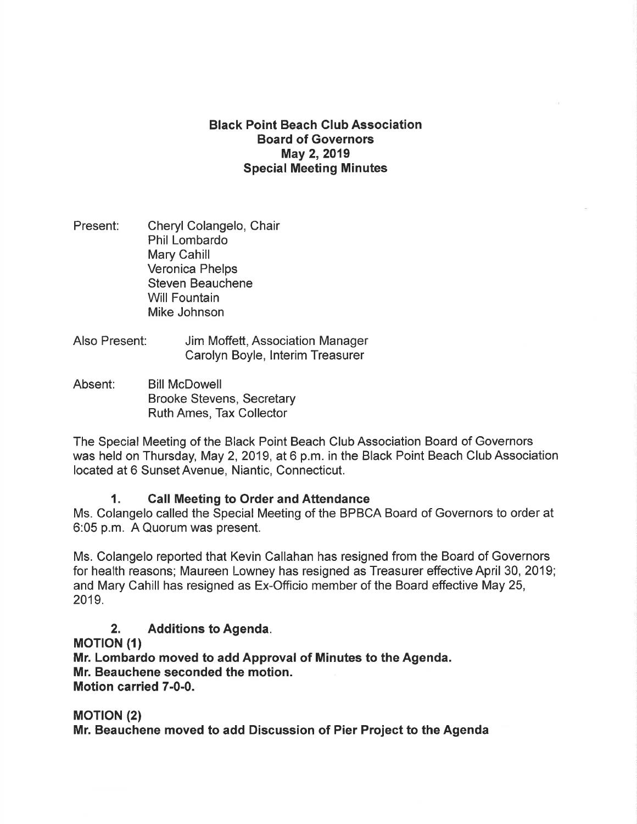## Black Point Beach Club Association Board of Governors May 2, 2019 Special Meeting Minutes

- Present: Cheryl Colangelo, Chair Phil Lombardo Mary Cahill Veronica Phelps Steven Beauchene Will Fountain Mike Johnson
- Also Present: Jim Moffett, Association Manager Carolyn Boyle, lnterim Treasurer
- Absent: Bill McDowell Brooke Stevens, Secretary Ruth Ames, Tax Collector

The Special Meeting of the Black Point Beach Club Association Board of Governors was held on Thursday, May 2, 2019, at 6 p.m. in the Black Point Beach Club Association located at 6 Sunset Avenue, Niantic, Connecticut.

### 1. Call Meeting to Order and Attendance

Ms. Colangelo called the Special Meeting of the BPBCA Board of Governors to order at 6:05 p.m. A Quorum was present.

Ms. Colangelo reported that Kevin Callahan has resigned from the Board of Governors for health reasons; Maureen Lowney has resigned as Treasurer effective April 30, 2019; and Mary Cahill has resigned as Ex-Officio member of the Board effective May 25, 2019.

# 2. Additions to Agenda.

**MOTION (1)** 

Mr. Lombardo moved to add Approval of Minutes to the Agenda. Mr. Beauchene seconded the motion. Motion carried 7-0-0.

**MOTION (2)** Mr. Beauchene moved to add Discussion of Pier Project to the Agenda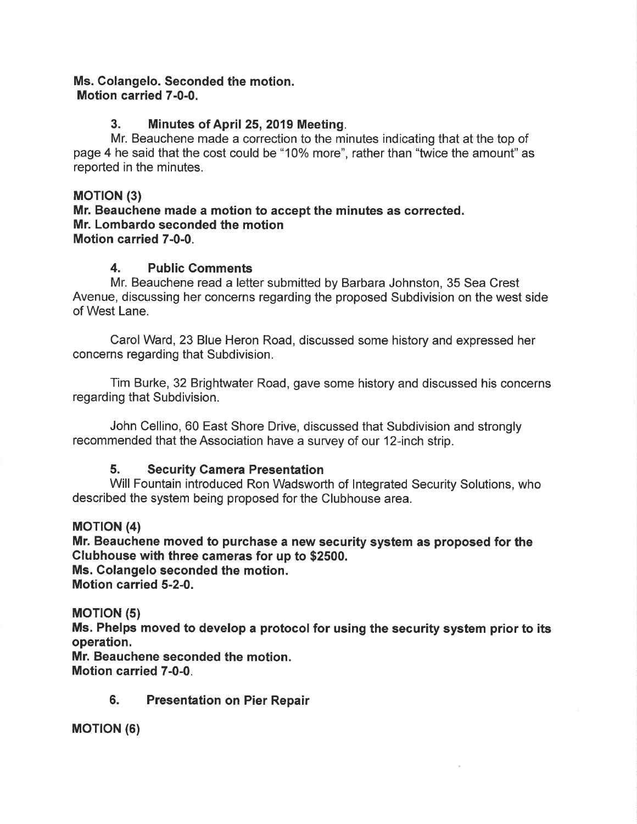#### Ms. Colangelo. Seconded the motion. Motion carried 7-0-0.

# 3. Minutes of April 25, 2019 Meeting.

Mr. Beauchene made a correction to the minutes indicating that at the top of page 4 he said that the cost could be "10% more", rather than "twice the amount" as reported in the minutes.

## **MOTION (3)**

Mr. Beauchene made a motion to accept the minutes as corrected. Mr. Lombardo seconded the motion Motion carried 7-0-0.

## 4. Public Comments

Mr. Beauchene read a letter submitted by Barbara Johnston, 35 Sea Crest Avenue, discussing her concerns regarding the proposed Subdivision on the west side of West Lane.

Carol Ward, 23 Blue Heron Road, discussed some history and expressed her concerns regarding that Subdivision.

Tim Burke, 32 Brightwater Road, gave some history and discussed his concerns regarding that Subdivision.

John Cellino, 60 East Shore Drive, discussed that Subdivision and strongly recommended that the Association have a survey of our 12-inch strip.

# 5. Security Gamera Presentation

Will Fountain introduced Ron Wadsworth of lntegrated Security Solutions, who described the system being proposed for the Clubhouse area.

### MOTION (4)

Mr. Beauchene moved to purchase a new security system as proposed for the Glubhouse with three cameras for up to \$2500.

Ms. Colangelo seconded the motion. Motion carried 5-2-0.

### **MOTION (5)**

Ms. Phelps moved to develop a protocol for using the security system prior to its operation.

Mr. Beauchene seconded the motion. Motion carried 7-0-0.

6. Presentation on Pier Repair

**MOTION (6)**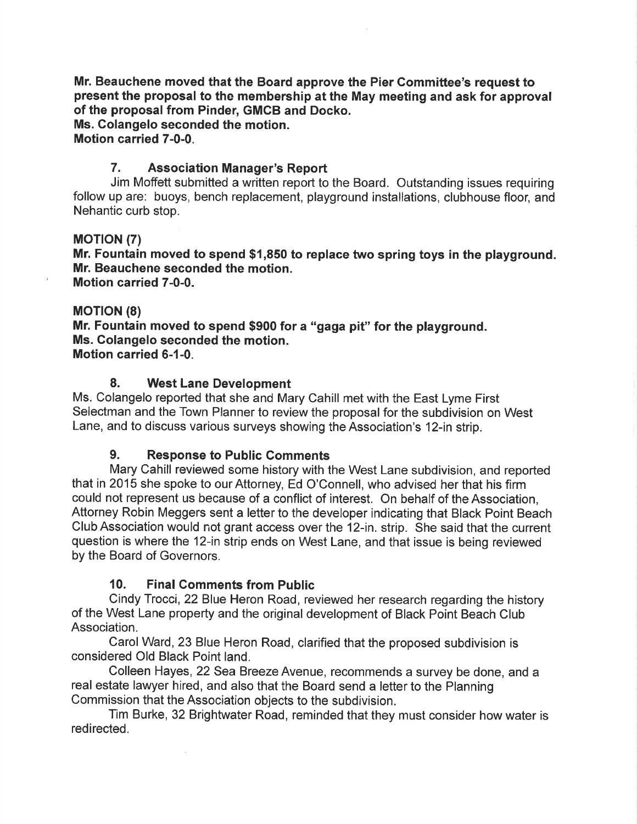Mr. Beauchene moved that the Board approve the Pier Committee's request to present the proposal to the membership at the May meeting and ask for approval of the proposal from Pinder, GMCB and Docko.

Ms. Colangelo seconded the motion.

Motion carried 7-0-0.

### 7. Association Manager's Report

Jim Moffett submitted a written report to the Board. Outstanding issues requiring follow up are: buoys, bench replacement, playground installations, clubhouse floor, and Nehantic curb stop.

### **MOTION (7)**

Mr. Fountain moved to spend \$1,850 to replace two spring toys in the playground. Mr. Beauchene seconded the motion. Motion carried 7-0-0.

#### **MOTION (8)**

Mr. Fountain moved to spend \$900 for a "gaga pit" for the playground. Ms. Golangelo seconded the motion. Motion carried 6-1-0.

#### 8. West Lane Development

Ms. Colangelo reported that she and Mary Cahill met with the East Lyme First Selectman and the Town Planner to review the proposal for the subdivision on West Lane, and to discuss various surveys showing the Association's 12-in strip.

### 9. Response to Public Comments

Mary Cahill reviewed some history with the West Lane subdivision, and reported that in 2015 she spoke to our Attorney, Ed O'Connell, who advised her that his firm could not represent us because of a conflict of interest. On behalf of the Association, Attorney Robin Meggers sent a letter to the developer indicating that Black Point Beach Club Association would not grant access over the 12-in. strip. She said that the current question is where the 12-in strip ends on West Lane, and that issue is being reviewed by the Board of Governors.

### 10. Final Gomments from Public

 $\mathcal{L}$ 

Cindy Trocci, 22 Blue Heron Road, reviewed her research regarding the history of the West Lane property and the original development of Black Point Beach Club Association.

Carol Ward, 23 Blue Heron Road, clarified that the proposed subdivision is considered Old Black Point land.

Colleen Hayes, 22 Sea Breeze Avenue, recommends a survey be done, and a real estate lawyer hired, and also that the Board send a letter to the Planning Commission that the Association objects to the subdivision.

Tim Burke, 32 Brightwater Road, reminded that they must consider how water is redirected.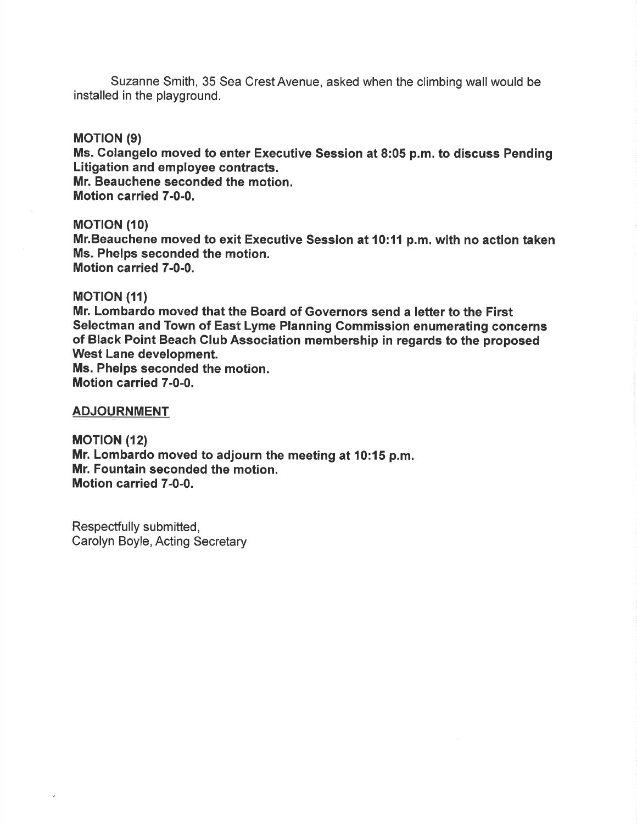Suzanne Smith, 35 Sea Crest Avenue, asked when the climbing wall would be installed in the playground.

#### **MOTION (9)**

Ms. Colangelo moved to enter Executive Session at 8:05 p.m. to discuss Pending Litigation and employee contracts. Mr. Beauchene seconded the motion. Motion carried 7-0-0.

#### **MOTION (10)**

Mr.Beauchene moved to exit Executive Session at 10:11 p.m. with no action taken Ms. Phelps seconded the motion. Motion carried 7-0-0.

#### **MOTION (11)**

Mr. Lombardo moved that the Board of Governors send a letter to the First Selectman and Town of East Lyme Planning Commission enumerating concerns of Black Point Beach Club Association membership in regards to the proposed West Lane development. Ms. Phelps seconded the motion.

Motion carried 7-0-0.

#### ADJOURNMENT

**MOTION (12)** Mr. Lombardo moved to adjourn the meeting at 10:15 p.m. Mr. Fountain seconded the motion. Motion carried 7-0-0.

Respectfully submitted, Carolyn Boyle, Acting Secretary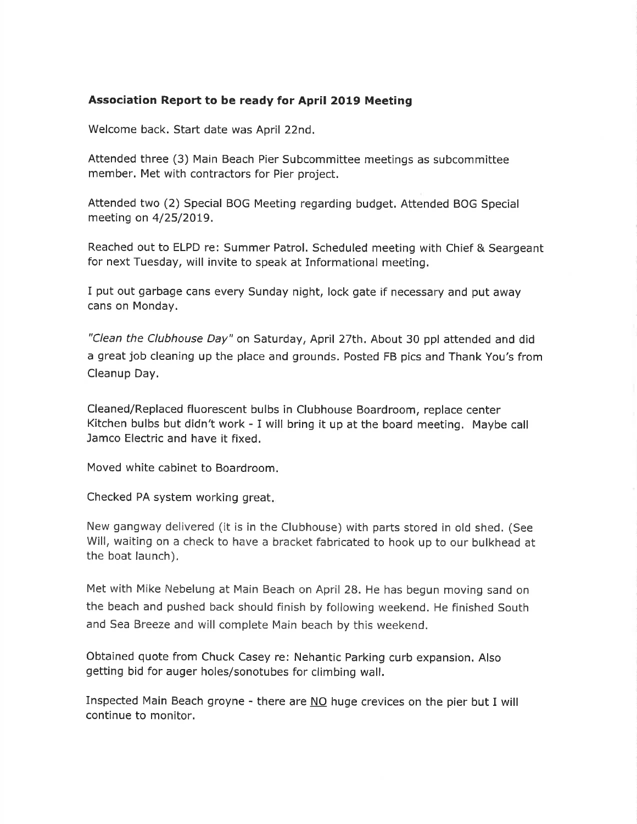#### Association Report to be ready for April 2019 Meeting

Welcome back. Start date was April 22nd.

Attended three (3) Main Beach Pier Subcommittee meetings as subcommittee member. Met with contractors for Pier project.

Attended two (2) Special BOG Meeting regarding budget. Attended BOG Special meeting on 4/25/20L9.

Reached out to ELPD re: Summer Patrol. Scheduled meeting with Chief & Seargeant for next Tuesday, will invite to speak at Informational meeting,

I put out garbage cans every Sunday night, lock gate if necessary and put away cans on Monday.

"Clean the Clubhouse Day" on Saturday, April 27th. About 30 ppl attended and did a great job cleaning up the place and grounds. Posted FB pics and Thank You's from Cleanup Day.

Cleaned/Replaced fluorescent bulbs in Clubhouse Boardroom, replace center Kitchen bulbs but didn't work - I will bring it up at the board meeting. Maybe call Jamco Electric and have it fixed.

Moved white cabinet to Boardroom.

Checked PA system working great

New gangway delivered (it is in the Clubhouse) with parts stored in old shed. (See Will, waiting on a check to have a bracket fabricated to hook up to our bulkhead at the boat launch).

Met with Mike Nebelung at Main Beach on April 28. He has begun moving sand on the beach and pushed back should finish by following weekend. He finished South and Sea Breeze and will complete Main beach by this weekend.

Obtained quote from Chuck Casey re: Nehantic Parking curb expansion. Also getting bid for auger holes/sonotubes for climbing wall.

Inspected Main Beach groyne - there are NO huge crevices on the pier but I will continue to monitor.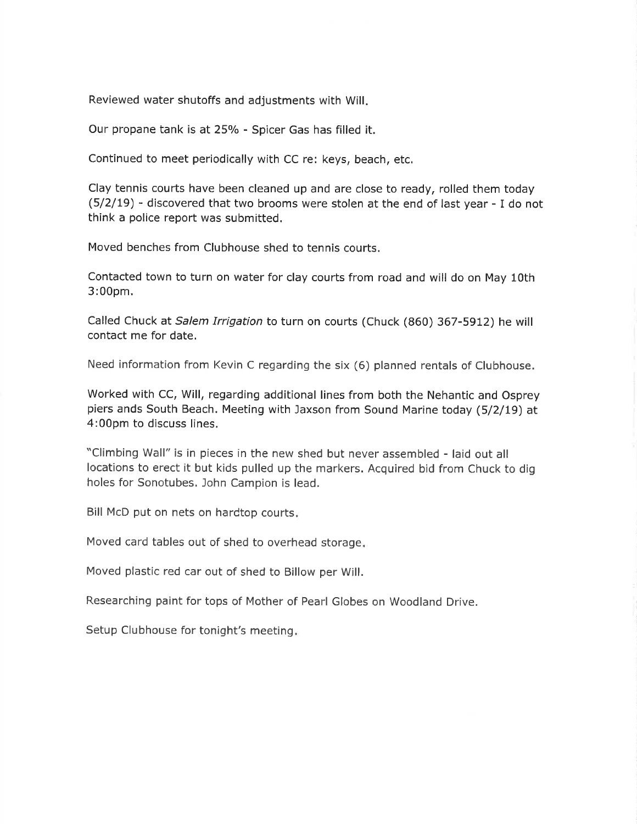Reviewed water shutoffs and adjustments with Will

Our propane tank is at 25% - Spicer Gas has filled it.

Continued to meet periodically with CC re: keys, beach, etc.

Clay tennis courts have been cleaned up and are close to ready, rolled them today (5/2/19) - discovered that two brooms were stolen at the end of last year - I do not think a police report was submitted.

Moved benches from Clubhouse shed to tennis courts.

Contacted town to turn on water for clay courts from road and will do on May 1Oth 3:00pm.

Called Chuck at Salem Irrigation to turn on courts (Chuck (860) 367-5912) he will contact me for date.

Need information from Kevin C regarding the six (6) planned rentals of Clubhouse.

Worked with CC, Will, regarding additional lines from both the Nehantic and Osprey piers ands South Beach. Meeting with Jaxson from Sound Marine today (5/2/L9) at 4:00pm to discuss lines.

"Climbing Wall" is in pieces in the new shed but never assembled - laid out all locations to erect it but kids pulled up the markers. Acquired bid from Chuck to dig holes for Sonotubes, John Campion is lead.

Bill McD put on nets on hardtop courts

Moved card tables out of shed to overhead storage

Moved plastic red car out of shed to Billow per Will.

Researching paint for tops of Mother of Pearl Globes on woodland Drive.

Setup Clubhouse for tonight's meeting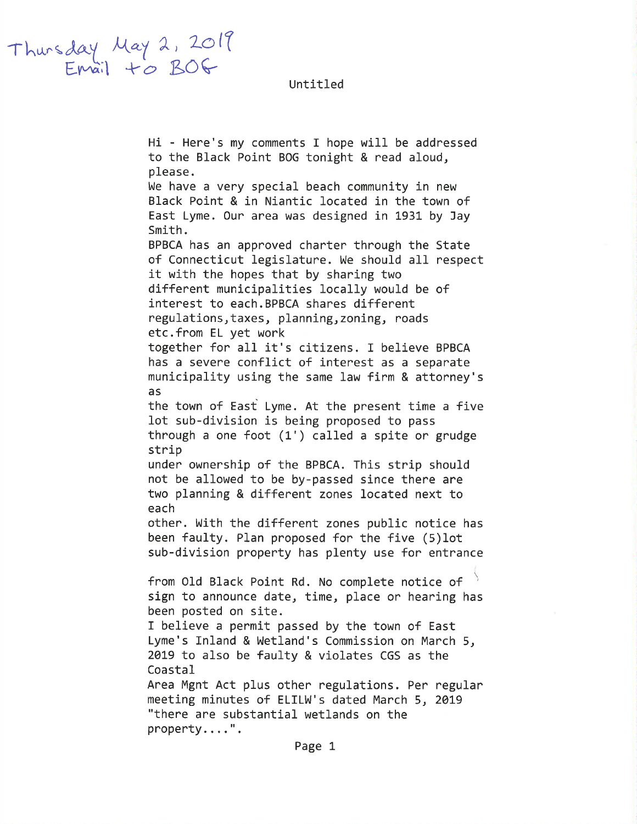Untitled

Thursday May 2, 2019

Hi - Here's my comments I hope will be addressed to the Black Point BOG tonight & read aloud, please. We have a very special beach community in new Black Point & in Niantic located in the town of East Lyme. Our area was designed in 1931 by Jay Smith. BPBCA has an approved charter through the State of Connecticut legislature. We should all respect it with the hopes that by sharing two different municipalities locally would be of interest to each. BPBCA shares different regulations, taxes, planning, zoning, roads etc.from EL yet work together for all it's citizens. I believe BPBCA has a severe conflict of interest as a separate municipality using the same law firm & attorney's as the town of East Lyme. At the present time a five lot sub-division is being proposed to pass through a one foot  $(1')$  called a spite or grudge strip under ownership of the BPBCA. This strip should not be allowed to be by-passed since there are two planning & different zones located next to each other. With the different zones public notice has been faulty. Plan proposed for the five (5) lot sub-division property has plenty use for entrance from Old Black Point Rd. No complete notice of sign to announce date, time, place or hearing has been posted on site. I believe a permit passed by the town of East Lyme's Inland & Wetland's Commission on March 5, 2019 to also be faulty & violates CGS as the Coastal Area Mgnt Act plus other regulations. Per regular meeting minutes of ELILW's dated March 5, 2019 "there are substantial wetlands on the property....".